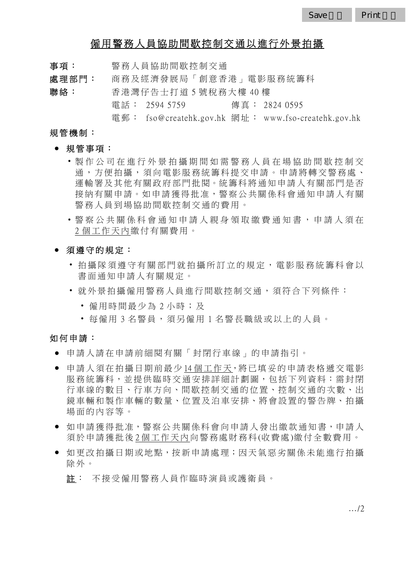# 僱用警務人員協助間歇控制交通以進行外景拍攝

事項: 警務人員協助間歇控制交通

處理部門: 商務及經濟發展局「創意香港」電影服務統籌科 聯絡: 香港灣仔告士打道 5 號稅務大樓 40 樓 電話: 2594 5759 傳真: 2824 0595

電 郵 : fso@createhk.gov.hk 網 址 : www.fso-createhk.gov.hk

#### 規管機制:

- 規管事項:
	- 製作公司在進行外景拍攝期間如需警 務人員在場協助間歇控制交 通,方便拍攝,須向電影服務統籌科提交申請。申請將轉交警務處、 運輸署及其他有關政府部門批閱。統籌科將通知申請人有關部門是否 接納有關申請。如申請獲得批准,警察公共關係科會通知申請人有關 警務人員到場協助間歇控制交通的費用。
	- 警察公共關係科會通知申請人親身領取繳費通知書,申請人須在 2 個工作天內繳付有關費用。
- 須遵守的規定:
	- 拍攝隊須導守有關部門就拍攝所訂立的規定, 雷影服務統籌科會以 書面通知申請人有關規定。
	- 就外景拍攝僱用警務人員進行間歇控制交通,須符合下列條件:
		- 僱用時間最少為 2 小時;及
		- 每僱用 3 名警員,須另僱用 1 名警長職級或以上的人員。

#### 如何申請:

- 申請人請在申請前細閱有關「封閉行車線」的申請指引。
- 申請人須在拍攝日期前最少14個工作天,將已填妥的申請表格遞交電影 服務統籌科,並提供臨時交通安排詳細計劃圖,包括下列資料:需封閉 行車線的數目、行車方向、間歇控制交通的位置、控制交通的次數、出 鏡車輛和製作車輛的數量、位置及泊車安排、將會設置的警告牌、拍攝 場面的內容等。
- 如申請獲得批准,警察公共關係科會向申請人發出繳款通知書,申請人 須於申請獲批後 2 個工作天內向警務處財務科(收費處)繳付全數費用。
- 如更改拍攝日期或地點,按新申請處 理;因天氣惡劣關係未能進行拍攝 除外。
	- 註 : 不接受僱用警務人員作臨時演員或護衛員。

…/2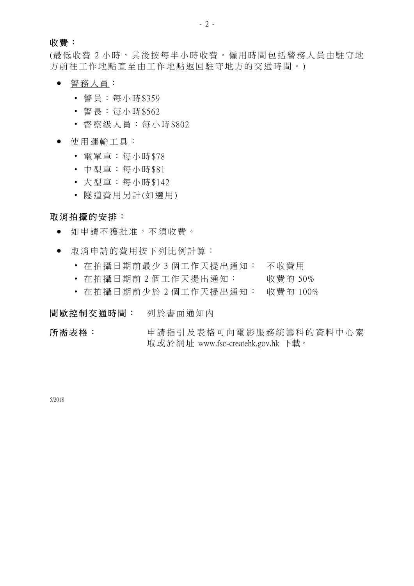### 收費:

(最低收費2小時,其後按每半小時收費。僱用時間包括警務人員由駐守地 方前往工作地點直至由工作地點返回駐守地方的交通時間。)

- 警務人員:
	- 警員:每小時\$359
	- 警長:每小時\$562
	- 督察級人員:每小時\$802
- 使用運輸工具:
	- 電單車:每小時\$78
	- 中型車:每小時\$81
	- 大型車:每小時\$142
	- 隧道費用另計(如適用)

## 取消拍攝的安排:

- 如申請不獲批准,不須收費。
- 取消申請的費用按下列比例計算:
	- 在拍攝日期前最少 3 個 工作天提出通知: 不收費用
	- 在拍攝日期前 2 個工作天提出通知: 收費的 50%
	- 在拍攝日期前少於 2 個工作天提出通知: 收費的 100%

### 間歇控制交通時間: 列於書面通知內

所需表格: 申請指引及表格可向電影服務統籌科的資料中心索 取 或 於 網 址 www.fso-createhk.gov.hk 下載。

5/2018